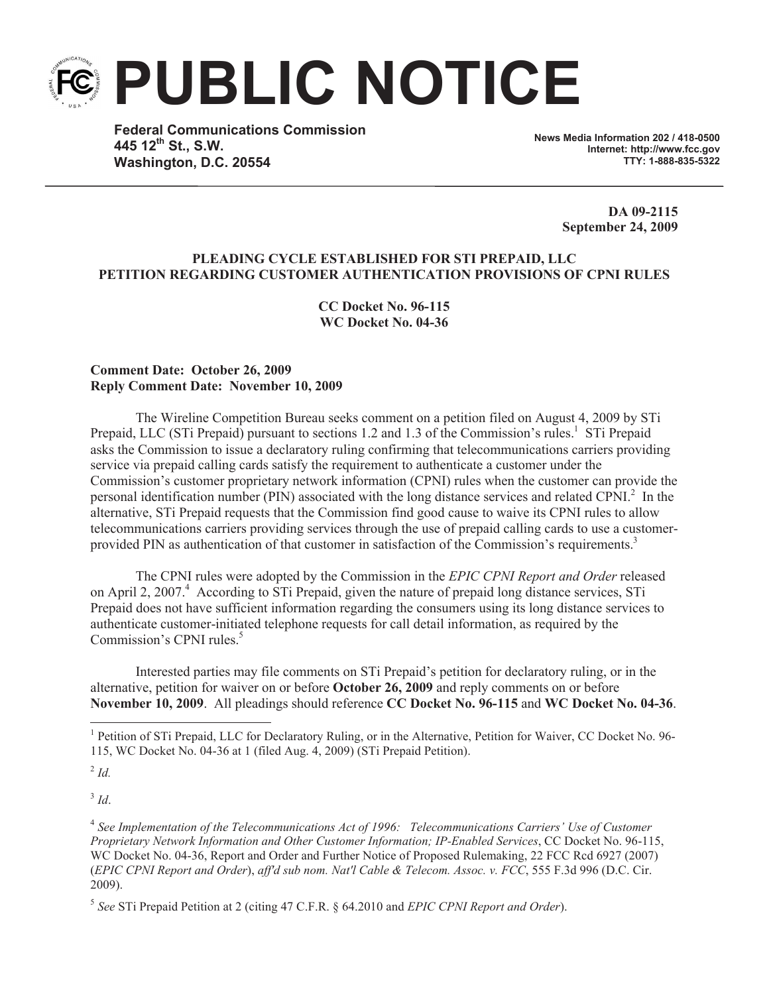**PUBLIC NOTICE**

**Federal Communications Commission 445 12th St., S.W. Washington, D.C. 20554**

**News Media Information 202 / 418-0500 Internet: http://www.fcc.gov TTY: 1-888-835-5322**

> **DA 09-2115 September 24, 2009**

## **PLEADING CYCLE ESTABLISHED FOR STI PREPAID, LLC PETITION REGARDING CUSTOMER AUTHENTICATION PROVISIONS OF CPNI RULES**

**CC Docket No. 96-115 WC Docket No. 04-36** 

## **Comment Date: October 26, 2009 Reply Comment Date: November 10, 2009**

The Wireline Competition Bureau seeks comment on a petition filed on August 4, 2009 by STi Prepaid, LLC (STi Prepaid) pursuant to sections 1.2 and 1.3 of the Commission's rules.<sup>1</sup> STi Prepaid asks the Commission to issue a declaratory ruling confirming that telecommunications carriers providing service via prepaid calling cards satisfy the requirement to authenticate a customer under the Commission's customer proprietary network information (CPNI) rules when the customer can provide the personal identification number (PIN) associated with the long distance services and related CPNI. $^2$  In the alternative, STi Prepaid requests that the Commission find good cause to waive its CPNI rules to allow telecommunications carriers providing services through the use of prepaid calling cards to use a customerprovided PIN as authentication of that customer in satisfaction of the Commission's requirements.<sup>3</sup>

The CPNI rules were adopted by the Commission in the *EPIC CPNI Report and Order* released on April 2, 2007. <sup>4</sup> According to STi Prepaid, given the nature of prepaid long distance services, STi Prepaid does not have sufficient information regarding the consumers using its long distance services to authenticate customer-initiated telephone requests for call detail information, as required by the Commission's CPNI rules.<sup>5</sup>

Interested parties may file comments on STi Prepaid's petition for declaratory ruling, or in the alternative, petition for waiver on or before **October 26, 2009** and reply comments on or before **November 10, 2009**. All pleadings should reference **CC Docket No. 96-115** and **WC Docket No. 04-36**.

2 *Id.*

3 *Id*.

<sup>&</sup>lt;sup>1</sup> Petition of STi Prepaid, LLC for Declaratory Ruling, or in the Alternative, Petition for Waiver, CC Docket No. 96-115, WC Docket No. 04-36 at 1 (filed Aug. 4, 2009) (STi Prepaid Petition).

<sup>&</sup>lt;sup>4</sup> See Implementation of the Telecommunications Act of 1996: Telecommunications Carriers' Use of Customer *Proprietary Network Information and Other Customer Information; IP-Enabled Services*, CC Docket No. 96-115, WC Docket No. 04-36, Report and Order and Further Notice of Proposed Rulemaking, 22 FCC Rcd 6927 (2007) (*EPIC CPNI Report and Order*), *aff'd sub nom. Nat'l Cable & Telecom. Assoc. v. FCC*, 555 F.3d 996 (D.C. Cir. 2009).

<sup>5</sup> *See* STi Prepaid Petition at 2 (citing 47 C.F.R. § 64.2010 and *EPIC CPNI Report and Order*).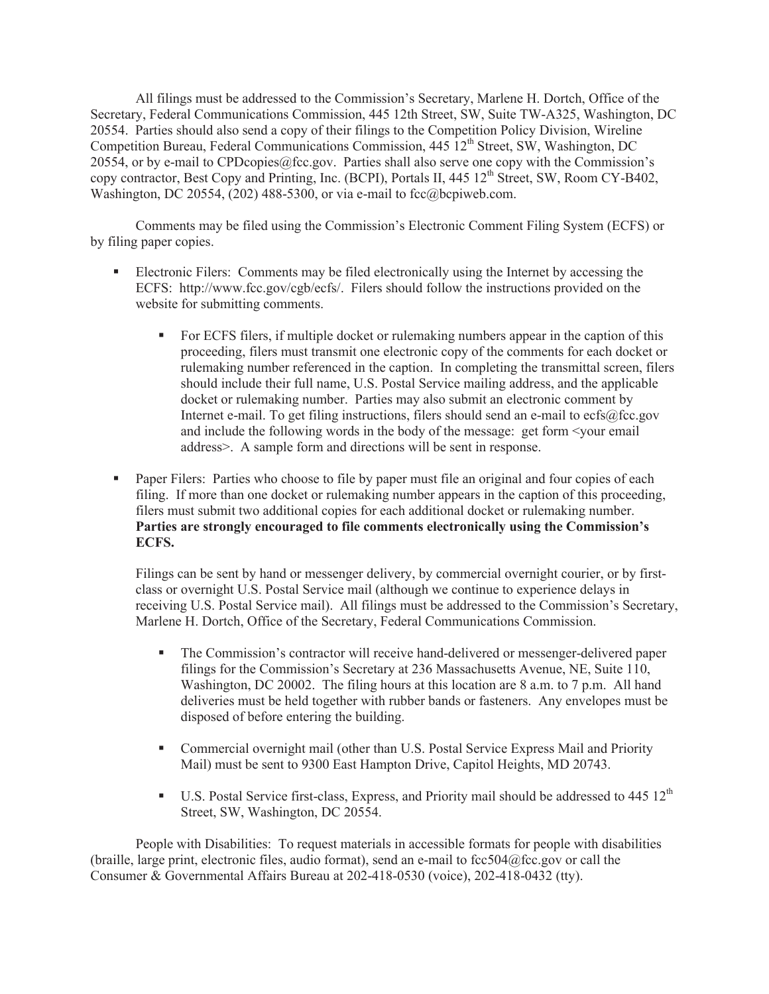All filings must be addressed to the Commission's Secretary, Marlene H. Dortch, Office of the Secretary, Federal Communications Commission, 445 12th Street, SW, Suite TW-A325, Washington, DC 20554. Parties should also send a copy of their filings to the Competition Policy Division, Wireline Competition Bureau, Federal Communications Commission, 445 12<sup>th</sup> Street, SW, Washington, DC 20554, or by e-mail to CPDcopies@fcc.gov. Parties shall also serve one copy with the Commission's copy contractor, Best Copy and Printing, Inc. (BCPI), Portals II, 445 12<sup>th</sup> Street, SW, Room CY-B402, Washington, DC 20554,  $(202)$  488-5300, or via e-mail to fcc@bcpiweb.com.

Comments may be filed using the Commission's Electronic Comment Filing System (ECFS) or by filing paper copies.

- Electronic Filers: Comments may be filed electronically using the Internet by accessing the ECFS: http://www.fcc.gov/cgb/ecfs/. Filers should follow the instructions provided on the website for submitting comments.
	- For ECFS filers, if multiple docket or rulemaking numbers appear in the caption of this proceeding, filers must transmit one electronic copy of the comments for each docket or rulemaking number referenced in the caption. In completing the transmittal screen, filers should include their full name, U.S. Postal Service mailing address, and the applicable docket or rulemaking number. Parties may also submit an electronic comment by Internet e-mail. To get filing instructions, filers should send an e-mail to ecfs@fcc.gov and include the following words in the body of the message: get form <your email address>. A sample form and directions will be sent in response.
- Paper Filers: Parties who choose to file by paper must file an original and four copies of each filing. If more than one docket or rulemaking number appears in the caption of this proceeding, filers must submit two additional copies for each additional docket or rulemaking number. **Parties are strongly encouraged to file comments electronically using the Commission's ECFS.**

Filings can be sent by hand or messenger delivery, by commercial overnight courier, or by firstclass or overnight U.S. Postal Service mail (although we continue to experience delays in receiving U.S. Postal Service mail). All filings must be addressed to the Commission's Secretary, Marlene H. Dortch, Office of the Secretary, Federal Communications Commission.

- The Commission's contractor will receive hand-delivered or messenger-delivered paper filings for the Commission's Secretary at 236 Massachusetts Avenue, NE, Suite 110, Washington, DC 20002. The filing hours at this location are 8 a.m. to 7 p.m. All hand deliveries must be held together with rubber bands or fasteners. Any envelopes must be disposed of before entering the building.
- Commercial overnight mail (other than U.S. Postal Service Express Mail and Priority Mail) must be sent to 9300 East Hampton Drive, Capitol Heights, MD 20743.
- **•** U.S. Postal Service first-class, Express, and Priority mail should be addressed to 445  $12<sup>th</sup>$ Street, SW, Washington, DC 20554.

People with Disabilities: To request materials in accessible formats for people with disabilities (braille, large print, electronic files, audio format), send an e-mail to fcc504@fcc.gov or call the Consumer & Governmental Affairs Bureau at 202-418-0530 (voice), 202-418-0432 (tty).